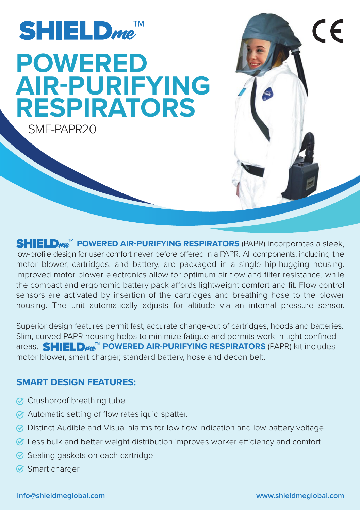

**SHIELD<sub>me</sub><sup>M</sup> POWERED AIR-PURIFYING RESPIRATORS** (PAPR) incorporates a sleek, low-profile design for user comfort never before offered in a PAPR. All components, including the motor blower, cartridges, and battery, are packaged in a single hip-hugging housing. Improved motor blower electronics allow for optimum air flow and filter resistance, while the compact and ergonomic battery pack affords lightweight comfort and fit. Flow control sensors are activated by insertion of the cartridges and breathing hose to the blower housing. The unit automatically adjusts for altitude via an internal pressure sensor.

Superior design features permit fast, accurate change-out of cartridges, hoods and batteries. Slim, curved PAPR housing helps to minimize fatigue and permits work in tight confined areas. **SHIELD<sub>me</sub>™ POWERED AIR-PURIFYING RESPIRATORS** (PAPR) kit includes motor blower, smart charger, standard battery, hose and decon belt.

## **SMART DESIGN FEATURES:**

- Crushproof breathing tube
- Automatic setting of flow ratesliquid spatter.
- Distinct Audible and Visual alarms for low flow indication and low battery voltage
- $\oslash$  Less bulk and better weight distribution improves worker efficiency and comfort
- **Sealing gaskets on each cartridge**
- **⊘** Smart charger